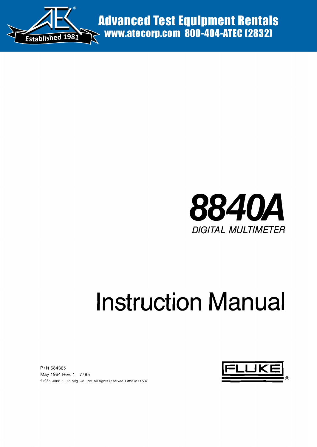

Advanced Test Equipment Rentals www.atecorp.com 800-404-ATEC (2832)



# **Instruction Manual**

PIN 684365 May 1984 Rev 1 *7/85* ~'1985, John Fluke MIg Co, Inc All rights reserved, Litho In US A

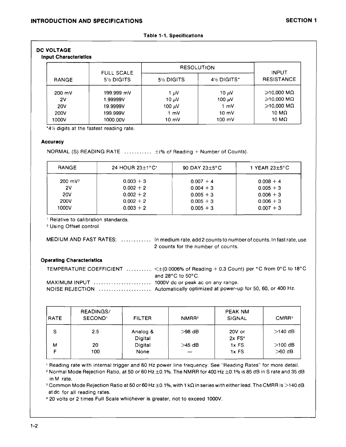#### Table 1-1. Specifications

# DC VOLTAGE

# Input Characteristics

|                  | <b>FULL SCALE</b>                    | <b>RESOLUTION</b> |                  | <b>INPUT</b>      |
|------------------|--------------------------------------|-------------------|------------------|-------------------|
| <b>RANGE</b>     | 5 <sup>1</sup> / <sub>2</sub> DIGITS | 5½ DIGITS         | 4½ DIGITS*       | <b>RESISTANCE</b> |
| $200 \text{ mV}$ | 199.999 mV                           | 1 $\mu$ V         | 10 µV            | ≥10.000 MΩ        |
| 2V               | 1.99999V                             | 10 $\mu$ V        | 100 $\mu$ V      | $≥$ 10,000 MΩ     |
| <b>20V</b>       | 19.9999V                             | 100 $\mu$ V       | 1 mV             | $≥$ 10,000 ΜΩ     |
| 200V             | 199.999V                             | $1 \text{ mV}$    | $10 \text{ mV}$  | 10 ΜΩ             |
| 1000V            | 1000.00V                             | $10 \text{ mV}$   | $100 \text{ mV}$ | 10 M $\Omega$     |

 $14\%$  digits at the fastest reading rate.

## **Accuracy**

NORMAL (S) READING RATE  $\dots\dots\dots\dots$   $\pm$ (% of Reading + Number of Counts).

| <b>RANGE</b>       | 24 HOUR $23\pm1^{\circ}$ C' | 90 DAY $23\pm5$ °C | 1 YEAR $23\pm5^{\circ}$ C |
|--------------------|-----------------------------|--------------------|---------------------------|
| $200 \text{ mV}^2$ | $0.003 + 3$                 | $0.007 + 4$        | $0.008 + 4$               |
| 2٧                 | $0.002 + 2$                 | $0.004 + 3$        | $0.005 + 3$               |
| 20V                | $0.002 + 2$                 | $0.005 + 3$        | $0.006 + 3$               |
| <b>200V</b>        | $0.002 + 2$                 | $0.005 + 3$        | $0.006 + 3$               |
| 1000V              | $0.003 + 2$                 | $0.005 + 3$        | $0.007 + 3$               |

<sup>1</sup> Relative to calibration standards.

2Using Offset controL

MEDIUM AND FAST RATES: . . . . . . . . . . . . In medium rate, add 2 counts to number of counts. In fast rate, use 2 counts for the number of counts.

# Operating Characteristics

| TEMPERATURE COEFFICIENT $\ldots \ldots \ldots \leq \pm (0.0006\% \text{ of Reading } + 0.3 \text{ Count})$ per °C from 0°C to 18°C |
|------------------------------------------------------------------------------------------------------------------------------------|
| and 28 $^{\circ}$ C to 50 $^{\circ}$ C.                                                                                            |
|                                                                                                                                    |
|                                                                                                                                    |

| <b>RATE</b> | READINGS/<br>SECOND <sup>1</sup> | <b>FILTER</b>       | NMRR <sup>2</sup> | PEAK NM<br>SIGNAL              | CMRR <sup>3</sup> |
|-------------|----------------------------------|---------------------|-------------------|--------------------------------|-------------------|
| S           | 2.5                              | Analog &<br>Digital | $>98$ dB          | 20V or<br>$2x$ FS <sup>4</sup> | $>140$ dB         |
| м           | 20                               | Digital             | $>45$ dB          | $1x$ FS                        | $>100$ dB         |
|             | 100                              | None                |                   | $1x$ FS                        | $>60$ dB          |

<sup>1</sup> Reading rate with internal trigger and 60 Hz power line frequency. See "Reading Rates" for more detaiL <sup>2</sup> Normal Mode Rejection Ratio, at 50 or 60 Hz  $\pm$ 0.1%. The NMRR for 400 Hz  $\pm$ 0.1% is 85 dB in S rate and 35 dB in M rate.

<sup>3</sup> Common Mode Rejection Ratio at 50 or 60 Hz ±0.1%, with 1 kΩ in series with either lead. The CMRR is >140 dB at de for all reading rates.

• 20 volts or 2 times Full Scale whichever is greater, not to exceed 1000V.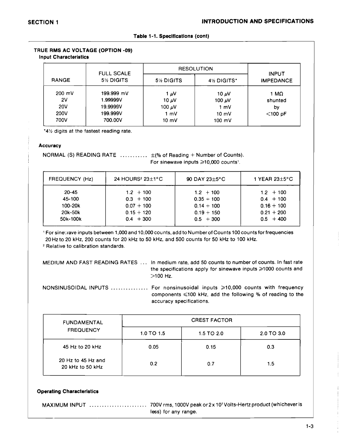|  |  | Table 1-1. Specifications (cont) |  |
|--|--|----------------------------------|--|
|--|--|----------------------------------|--|

| TRUE RMS AC VOLTAGE (OPTION -09) |  |
|----------------------------------|--|
| <b>Input Characteristics</b>     |  |

|                  | <b>FULL SCALE</b> | <b>RESOLUTION</b> |                  | <b>INPUT</b>     |
|------------------|-------------------|-------------------|------------------|------------------|
| <b>RANGE</b>     | 5½ DIGITS         | 5½ DIGITS         | 4½ DIGITS*       | <b>IMPEDANCE</b> |
| $200 \text{ mV}$ | 199.999 mV        | 1 μV              | 10 $\mu$ V       | 1 MΩ             |
| 2V               | 1.99999V          | 10 $\mu$ V        | 100 $\mu$ V      | shunted          |
| <b>20V</b>       | 19.9999V          | 100 $\mu$ V       | 1 mV             | by               |
| 200V             | 199.999V          | 1 mV              | $10 \text{ mV}$  | $<$ 100 pF       |
| 700V             | 700.00V           | $10 \text{ mV}$   | $100 \text{ mV}$ |                  |

\*41/2 digits at the fastest reading rate.

#### **Accuracy**

NORMAL (S) READING RATE  $\ldots \ldots \ldots \pm (%$  of Reading + Number of Counts). For sinewave inputs  $\geqslant$  10,000 counts<sup>1</sup>.

| <b>FREQUENCY (Hz)</b> | 24 HOURS <sup>2</sup> $23\pm1$ °C | 90 DAY 23 $\pm$ 5°C          | 1 YEAR $23\pm5$ °C          |
|-----------------------|-----------------------------------|------------------------------|-----------------------------|
| $20 - 45$             | $1.2 + 100$                       | $1.2 + 100$                  | $1.2 + 100$                 |
| 45-100<br>100-20k     | $0.3 + 100$<br>$0.07 + 100$       | $0.35 + 100$<br>$0.14 + 100$ | $0.4 + 100$<br>$0.16 + 100$ |
| 20k-50k               | $0.15 + 120$                      | $0.19 + 150$                 | $0.21 + 200$                |
| 50k-100k              | $0.4 + 300$                       | $0.5 + 300$                  | $0.5 + 400$                 |

<sup>1</sup> For sine'.'1ave inputs between 1,000 and 10,000 counts, add to Numberof Counts 100 counts for frequencies 20Hzto 20 kHz, 200 counts for 20 kHz to 50 kHz, and 500 counts for 50 kHz to 100 kHz,

<sup>2</sup> Relative to calibration standards.

| MEDIUM AND FAST READING RATES  In medium rate, add 50 counts to number of counts. In fast rate<br>the specifications apply for sinewave inputs $\geq 1000$ counts and<br>$>100$ Hz. |
|-------------------------------------------------------------------------------------------------------------------------------------------------------------------------------------|
| NONSINUSOIDAL INPUTS  For nonsinusoidal inputs ≥10,000 counts with frequency<br>components $\leq 100$ kHz, add the following % of reading to the<br>accuracy specifications.        |

| <b>FUNDAMENTAL</b>                     |                | <b>CREST FACTOR</b> |            |
|----------------------------------------|----------------|---------------------|------------|
| <b>FREQUENCY</b>                       | $1.0$ TO $1.5$ | 1.5 TO 2.0          | 2.0 TO 3.0 |
| 45 Hz to 20 kHz                        | 0.05           | 0.15                | 0.3        |
| 20 Hz to 45 Hz and<br>20 kHz to 50 kHz | 0.2            | 0.7                 | 1.5        |

#### Operating Characteristics

|  | less) for any range. |
|--|----------------------|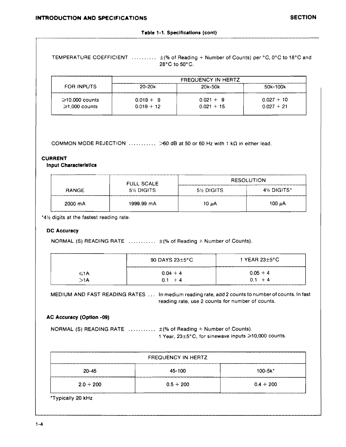TEMPERATURE COEFFICIENT  $\dots\dots\dots\dots$   $\pm$ (% of Reading + Number of Counts) per °C, 0°C to 18°C and 28°C to 50°C.

|                                             |                             | <b>FREQUENCY IN HERTZ</b>   |                              |
|---------------------------------------------|-----------------------------|-----------------------------|------------------------------|
| FOR INPUTS                                  | $20 - 20k$                  | 20k-50k                     | 50k-100k                     |
| $\geq 10,000$ counts<br>$\geq 1,000$ counts | $0.019 + 9$<br>$0.019 + 12$ | $0.021 + 9$<br>$0.021 + 15$ | $0.027 + 10$<br>$0.027 + 21$ |

COMMON MODE REJECTION  $\ldots$ ... $\geq 60$  dB at 50 or 60 Hz with 1 kQ in either lead.

#### **CURRENT**

**Input Characteristics**

|              | <b>FULL SCALE</b> |           | <b>RESOLUTION</b> |
|--------------|-------------------|-----------|-------------------|
| <b>RANGE</b> | 5½ DIGITS         | 5½ DIGITS | 4½ DIGITS*        |
| 2000 mA      | 1999.99 mA        | 10 µA     | 100 µA            |

\*4% digits at the fastest reading rate.

#### **DC Accuracy**

NORMAL (S) READING RATE  $\dots \dots \dots$   $\pm$  (% of Reading + Number of Counts).

|     | $90$ DAYS 23 $\pm$ 5°C |            |
|-----|------------------------|------------|
| ≤1A | $0.04 + 4$             | $0.05 + 4$ |
| >1A | $+4$                   | $0.1 + 4$  |

MEDIUM AND FAST READING RATES ... In medium reading rate, add 2 counts to number of counts. In fast reading rate, use 2 counts for number of counts.

#### **AC Accuracy (Option -09)**

NORMAL (S) READING RATE  $\ldots \ldots \ldots \pm$  (% of Reading + Number of Counts). 1 Year,  $23\pm5^{\circ}$ C, for sinewave inputs  $\geq 10,000$  counts.

| <b>FREQUENCY IN HERTZ</b>           |             |             |  |  |
|-------------------------------------|-------------|-------------|--|--|
| 45-100<br>$100 - 5k^*$<br>$20 - 45$ |             |             |  |  |
| $2.0 + 200$                         | $0.5 + 200$ | $0.4 + 200$ |  |  |

\*Typically 20 kHz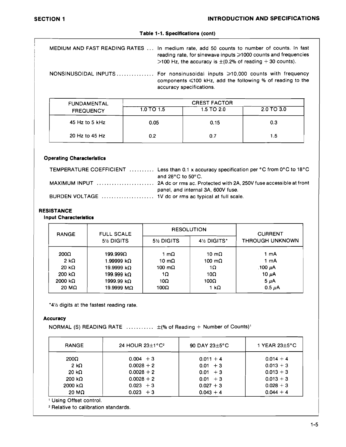#### **Table** 1-1. **Specifications (cont)**

MEDIUM AND FAST READING RATES ... In medium rate, add 50 counts to number of counts. In fast reading rate, for sinewave inputs  $\geq 1000$  counts and frequencies >100 Hz, the accuracy is  $\pm$  (0.2% of reading + 30 counts).

NONSINUSOIDAL INPUTS ............... For nonsinusoidal inputs >10,000 counts with frequency components  $\leq 100$  kHz, add the following % of reading to the accuracy specifications.

| <b>FUNDAMENTAL</b> |                | <b>CREST FACTOR</b> |            |  |  |
|--------------------|----------------|---------------------|------------|--|--|
| <b>FREQUENCY</b>   | $1.0$ TO $1.5$ | 1.5 TO 2.0          | 2.0 TO 3.0 |  |  |
| 45 Hz to 5 $kHz$   | 0.05           | 0.15                | 0.3        |  |  |
| 20 Hz to 45 Hz     | 0.2            | 0.7                 | 1.5        |  |  |

#### **Operating Characteristics**

|                                                        | TEMPERATURE COEFFICIENT  Less than 0.1 x accuracy specification per °C from 0°C to 18°C |
|--------------------------------------------------------|-----------------------------------------------------------------------------------------|
|                                                        | and $28^{\circ}$ C to $50^{\circ}$ C.                                                   |
|                                                        |                                                                                         |
|                                                        | panel, and internal 3A, 600V fuse.                                                      |
| BURDEN VOLTAGE  1V dc or rms ac typical at full scale. |                                                                                         |

#### **RESISTANCE**

**Input Character/stlcs**

| <b>RANGE</b>    | <b>FULL SCALE</b> |           | <b>RESOLUTION</b>                     | <b>CURRENT</b>         |
|-----------------|-------------------|-----------|---------------------------------------|------------------------|
|                 | 5% DIGITS         | 5% DIGITS | 4 <sup>1</sup> / <sub>2</sub> DIGITS* | <b>THROUGH UNKNOWN</b> |
| $200\Omega$     | 199.999Ω          | 1 mΩ      | 10 mΩ                                 | 1 mA                   |
| 2 k $\Omega$    | 1.99999 kΩ        | 10 mΩ     | 100 mΩ.                               | 1 mA                   |
| 20 k $\Omega$   | 19.9999 kΩ        | 100 mΩ    | 1Ω                                    | ,100 μA                |
| 200 k $\Omega$  | 199.999 kΩ        | 1Ω        | 10 $\Omega$                           | 10 $\mu$ A             |
| 2000 k $\Omega$ | 1999.99 kΩ        | 10Ω       | 100Ω                                  | $5 \mu A$              |
| 20 ΜΩ           | 19.9999 MΩ        | 100Ω      | 1 κΩ                                  | $0.5 \mu A$            |

"4% digits at the fastest reading rate.

#### **Accuracy**

NORMAL (S) READING RATE  $\ldots \ldots \ldots \pm$  (% of Reading + Number of Counts)<sup>1</sup>

| <b>RANGE</b>   | 24 HOUR $23+1^{\circ}C^2$ | 90 DAY $23\pm5$ °C | 1 YEAR $23\pm5$ °C |
|----------------|---------------------------|--------------------|--------------------|
| 200 $\Omega$   | $0.004 + 3$               | $0.011 + 4$        | $0.014 + 4$        |
| $2 k\Omega$    | $0.0028 + 2$              | $0.01 + 3$         | $0.013 + 3$        |
| 20 k $\Omega$  | $0.0028 + 2$              | $0.01 + 3$         | $0.013 + 3$        |
| 200 k $\Omega$ | $0.0028 + 2$              | $0.01 + 3$         | $0.013 + 3$        |
| 2000 kΩ        | $0.023 + 3$               | $0.027 + 3$        | $0.028 + 3$        |
| 20 M $\Omega$  | $0.023 + 3$               | $0.043 + 4$        | $0.044 + 4$        |

<sup>1</sup> Using Offset control.

<sup>2</sup> Relative to calibration standards.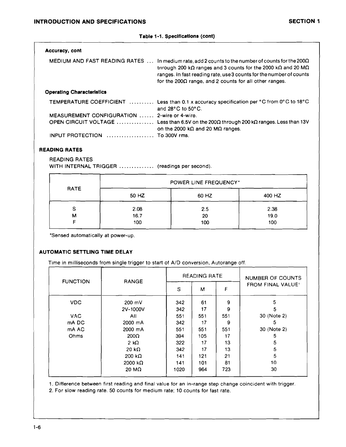#### **Table** 1·1. **Specifications (cont)**

| <b>Accuracy, cont</b>                        |                                                                                                                                                                                                                                                                                                                                           |
|----------------------------------------------|-------------------------------------------------------------------------------------------------------------------------------------------------------------------------------------------------------------------------------------------------------------------------------------------------------------------------------------------|
|                                              | MEDIUM AND FAST READING RATES  In medium rate, add 2 counts to the number of counts for the 200 $\Omega$<br>through 200 k $\Omega$ ranges and 3 counts for the 2000 k $\Omega$ and 20 M $\Omega$<br>ranges. In fast reading rate, use 3 counts for the number of counts<br>for the 200 $\Omega$ range, and 2 counts for all other ranges. |
| <b>Operating Characteristics</b>             |                                                                                                                                                                                                                                                                                                                                           |
|                                              | <b>TEMPERATURE COEFFICIENT</b> Less than 0.1 x accuracy specification per °C from 0°C to 18°C<br>and $28^{\circ}$ C to $50^{\circ}$ C.                                                                                                                                                                                                    |
| MEASUREMENT CONFIGURATION  2-wire or 4-wire. |                                                                                                                                                                                                                                                                                                                                           |
|                                              | OPEN CIRCUIT VOLTAGE  Less than 6.5V on the 200Ω through 200 kΩ ranges. Less than 13V<br>on the 2000 k $\Omega$ and 20 M $\Omega$ ranges.                                                                                                                                                                                                 |
| INPUT PROTECTION  To 300V rms.               |                                                                                                                                                                                                                                                                                                                                           |

# **READING RATES**

READING RATES WITH INTERNAL TRIGGER .............. (readings per second).

|      | POWER LINE FREQUENCY* |           |             |
|------|-----------------------|-----------|-------------|
| RATE | 50 HZ                 | 60 HZ     | 400 HZ      |
| S    | 2.08                  | 2.5       | 2.38        |
| М    | 16.7<br>100           | 20<br>100 | 19.0<br>100 |

·Sensed automatically at power-up.

# **AUTOMATIC SETTLING TIME DELAY**

Time in milliseconds from single trigger to start of *AID* conversion, Autorange off.

| <b>FUNCTION</b> |                   | <b>READING RATE</b> |     |     | NUMBER OF COUNTS         |
|-----------------|-------------------|---------------------|-----|-----|--------------------------|
|                 | <b>RANGE</b>      | S                   | м   | F   | <b>FROM FINAL VALUE'</b> |
| VDC.            | $200 \text{ mV}$  | 342                 | 61  | 9   | 5                        |
|                 | 2V-1000V          | 342                 | 17  | 9   | 5                        |
| <b>VAC</b>      | All               | 551                 | 551 | 551 | 30 (Note 2)              |
| mA DC           | 2000 mA           | 342                 | 17  | 9   | 5                        |
| mA AC           | 2000 mA           | 551                 | 551 | 551 | 30 (Note 2)              |
| Ohms            | $200\Omega$       | 394                 | 105 | 17  | 5                        |
|                 | $2 \kappa \Omega$ | 322                 | 17  | 13  | 5                        |
|                 | 20 k $\Omega$     | 342                 | 17  | 13  | 5                        |
|                 | 200 k $\Omega$    | 141                 | 121 | 21  | 5                        |
|                 | 2000 $k\Omega$    | 141                 | 101 | 81  | 10                       |
|                 | 20 M $\Omega$     | 1020                | 964 | 723 | 30                       |

1. Difference between first reading and final value for an in-range step change coincident with trigger.

2. For slow reading rate. 50 counts for medium rate; 10 counts for fast rate.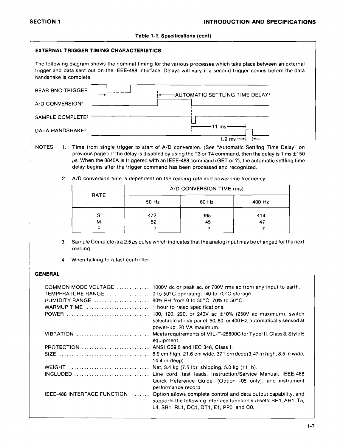#### **Table** 1-1. Specifications (cont)

#### **EXTERNAL TRIGGER TIMING CHARACTERISTICS**

The following diagram shows the nominal timing for the various processes which take place between an external trigger and data sent out on the IEEE-488 interface. Delays will vary if a second trigger comes before the data handshake is complete.

| <b>REAR BNC TRIGGER</b>      |  | -AUTOMATIC SETTLING TIME DELAY' |
|------------------------------|--|---------------------------------|
| A/D CONVERSION <sup>2</sup>  |  |                                 |
| SAMPLE COMPLETE <sup>3</sup> |  |                                 |
| DATA HANDSHAKE <sup>+</sup>  |  | 11 $ms$                         |
|                              |  | $12 \text{ ms}$                 |

- NOTES: 1. Time from single trigger to start of A/D conversion. (See "Automatic Settling Time Delay" on previous page.) If the delay is disabled by using the T3 or T4 command, then the delay is 1 ms  $\pm 150$  $\mu$ s. When the 8840A is triggered with an IEEE-488 command (GET or?), the automatic settling time delay begins after the trigger command has been processed and recognized.
	- 2. A/D conversion time is dependent on the reading rate and power-line frequency:

| RATE | A/D CONVERSION TIME (ms) |       |                      |
|------|--------------------------|-------|----------------------|
|      | 50 Hz                    | 60 Hz | 400 Hz               |
| S    | 472                      | 395   | 414                  |
| м    | 52                       | 45    | $\blacktriangleleft$ |

- 3. Sample Complete is a 2.5  $\mu$ s pulse which indicates that the analog input may be changed for the next reading.
- 4. When talking to a fast controller.

#### I **GENERAL**

|                                                                                                | COMMON MODE VOLTAGE  1000V dc or peak ac, or 700V rms ac from any input to earth.           |
|------------------------------------------------------------------------------------------------|---------------------------------------------------------------------------------------------|
| <b>TEMPERATURE RANGE</b> 0 to 50°C operating, -40 to 70°C storage.                             |                                                                                             |
| HUMIDITY RANGE $\ldots \ldots \ldots \ldots \ldots \ldots$ 80% RH from 0 to 35°C, 70% to 50°C. |                                                                                             |
|                                                                                                |                                                                                             |
|                                                                                                |                                                                                             |
|                                                                                                | selectable at rear panel, 50, 60, or 400 Hz, automatically sensed at                        |
|                                                                                                | power-up. 20 VA maximum.                                                                    |
| VIBRATION                                                                                      | Meets requirements of MIL-T-28800C for Type III, Class 3, Style E                           |
|                                                                                                | equipment.                                                                                  |
| PROTECTION  ANSI C39.5 and IEC 348, Class I.                                                   |                                                                                             |
|                                                                                                |                                                                                             |
|                                                                                                | 14.4 in deep).                                                                              |
|                                                                                                | WEIGHT  Net, 3.4 kg (7.5 lb); shipping, 5.0 kg (11 lb).                                     |
|                                                                                                |                                                                                             |
|                                                                                                | Quick Reference Guide, (Option -05 only), and instrument<br>performance record.             |
|                                                                                                | IEEE-488 INTERFACE FUNCTION  Option allows complete control and data output capability, and |
|                                                                                                | supports the following interface function subsets: SH1, AH1, T5,                            |
|                                                                                                | L4, SR1, RL1, DC1, DT1, E1, PP0, and C0.                                                    |
|                                                                                                |                                                                                             |